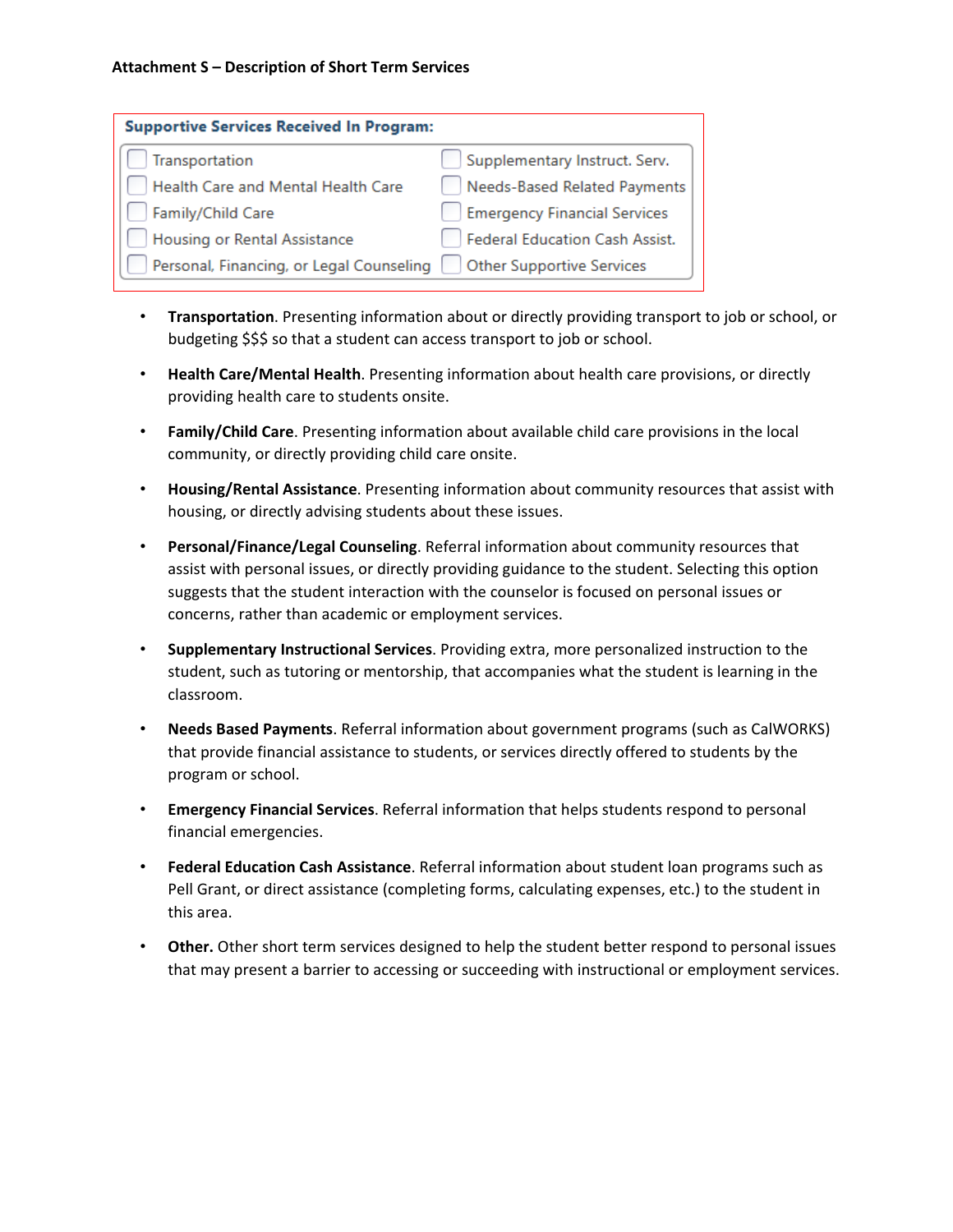| <b>Supportive Services Received In Program:</b> |                                     |
|-------------------------------------------------|-------------------------------------|
| Transportation                                  | Supplementary Instruct. Serv.       |
| Health Care and Mental Health Care              | Needs-Based Related Payments        |
| Family/Child Care                               | <b>Emergency Financial Services</b> |
| Housing or Rental Assistance                    | Federal Education Cash Assist.      |
| Personal, Financing, or Legal Counseling        | <b>Other Supportive Services</b>    |

- **Transportation**. Presenting information about or directly providing transport to job or school, or budgeting \$\$\$ so that a student can access transport to job or school.
- **Health Care/Mental Health**. Presenting information about health care provisions, or directly providing health care to students onsite.
- **Family/Child Care**. Presenting information about available child care provisions in the local community, or directly providing child care onsite.
- **Housing/Rental Assistance**. Presenting information about community resources that assist with housing, or directly advising students about these issues.
- **Personal/Finance/Legal Counseling**. Referral information about community resources that assist with personal issues, or directly providing guidance to the student. Selecting this option suggests that the student interaction with the counselor is focused on personal issues or concerns, rather than academic or employment services.
- **Supplementary Instructional Services**. Providing extra, more personalized instruction to the student, such as tutoring or mentorship, that accompanies what the student is learning in the classroom.
- **Needs Based Payments**. Referral information about government programs (such as CalWORKS) that provide financial assistance to students, or services directly offered to students by the program or school.
- **Emergency Financial Services**. Referral information that helps students respond to personal financial emergencies.
- **Federal Education Cash Assistance**. Referral information about student loan programs such as Pell Grant, or direct assistance (completing forms, calculating expenses, etc.) to the student in this area.
- **Other.** Other short term services designed to help the student better respond to personal issues that may present a barrier to accessing or succeeding with instructional or employment services.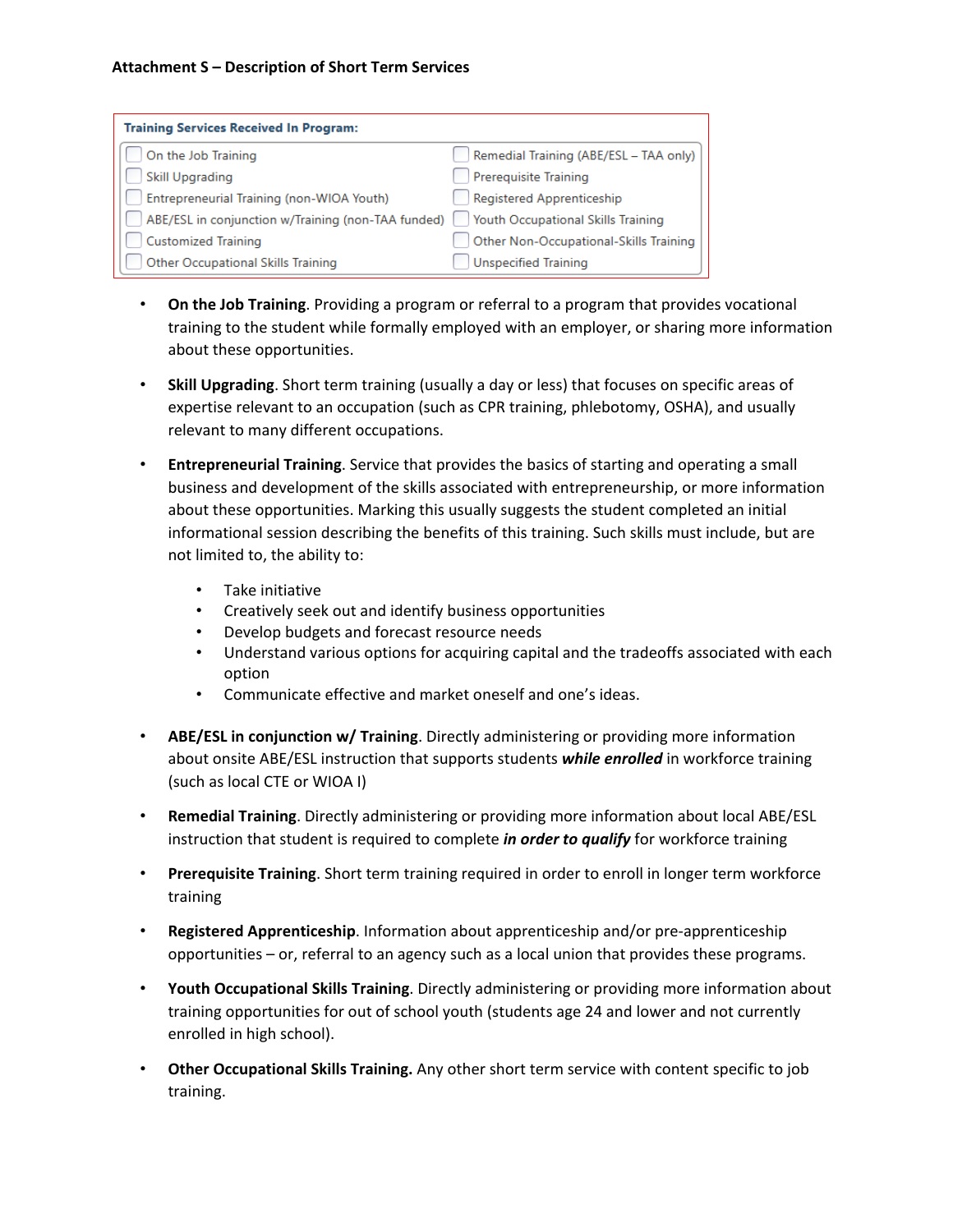| <b>Training Services Received In Program:</b>      |                                           |
|----------------------------------------------------|-------------------------------------------|
| On the Job Training                                | Remedial Training (ABE/ESL - TAA only)    |
| <b>Skill Upgrading</b>                             | <b>Prerequisite Training</b>              |
| Entrepreneurial Training (non-WIOA Youth)          | Registered Apprenticeship                 |
| ABE/ESL in conjunction w/Training (non-TAA funded) | <b>Youth Occupational Skills Training</b> |
| <b>Customized Training</b>                         | Other Non-Occupational-Skills Training    |
| <b>Other Occupational Skills Training</b>          | <b>Unspecified Training</b>               |

- **On the Job Training**. Providing a program or referral to a program that provides vocational training to the student while formally employed with an employer, or sharing more information about these opportunities.
- **Skill Upgrading**. Short term training (usually a day or less) that focuses on specific areas of expertise relevant to an occupation (such as CPR training, phlebotomy, OSHA), and usually relevant to many different occupations.
- **Entrepreneurial Training**. Service that provides the basics of starting and operating a small business and development of the skills associated with entrepreneurship, or more information about these opportunities. Marking this usually suggests the student completed an initial informational session describing the benefits of this training. Such skills must include, but are not limited to, the ability to:
	- Take initiative
	- Creatively seek out and identify business opportunities
	- Develop budgets and forecast resource needs
	- Understand various options for acquiring capital and the tradeoffs associated with each option
	- Communicate effective and market oneself and one's ideas.
- **ABE/ESL in conjunction w/ Training**. Directly administering or providing more information about onsite ABE/ESL instruction that supports students *while enrolled* in workforce training (such as local CTE or WIOA I)
- **Remedial Training**. Directly administering or providing more information about local ABE/ESL instruction that student is required to complete *in order to qualify* for workforce training
- **Prerequisite Training**. Short term training required in order to enroll in longer term workforce training
- **Registered Apprenticeship**. Information about apprenticeship and/or pre-apprenticeship opportunities – or, referral to an agency such as a local union that provides these programs.
- **Youth Occupational Skills Training**. Directly administering or providing more information about training opportunities for out of school youth (students age 24 and lower and not currently enrolled in high school).
- **Other Occupational Skills Training.** Any other short term service with content specific to job training.